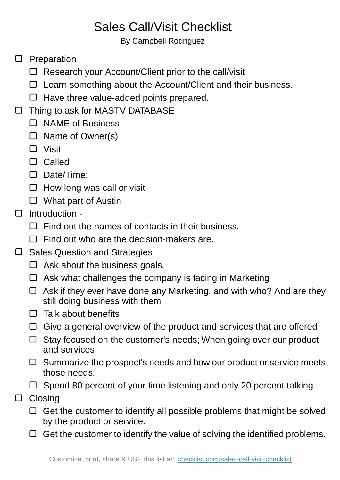## Sales Call/Visit Checklist

By Campbell Rodriguez

- $\square$  Preparation
	- □ Research your Account/Client prior to the call/visit
	- $\Box$  Learn something about the Account/Client and their business.
	- $\Box$  Have three value-added points prepared.
- □ Thing to ask for MASTV DATABASE
	- □ NAME of Business
	- $\Box$  Name of Owner(s)
	- □ Visit
	- Called
	- Date/Time:
	- $\Box$  How long was call or visit
	- □ What part of Austin
- Introduction  $\Box$ 
	- $\Box$  Find out the names of contacts in their business.
	- $\Box$  Find out who are the decision-makers are.
- Sales Question and Strategies  $\Box$ 
	- $\Box$  Ask about the business goals.
	- $\Box$  Ask what challenges the company is facing in Marketing
	- $\Box$  Ask if they ever have done any Marketing, and with who? And are they still doing business with them
	- $\Box$  Talk about benefits
	- $\Box$  Give a general overview of the product and services that are offered
	- □ Stay focused on the customer's needs; When going over our product and services
	- $\Box$  Summarize the prospect's needs and how our product or service meets those needs.
	- $\Box$  Spend 80 percent of your time listening and only 20 percent talking.
- □ Closing
	- $\Box$  Get the customer to identify all possible problems that might be solved by the product or service.
	- $\Box$  Get the customer to identify the value of solving the identified problems.